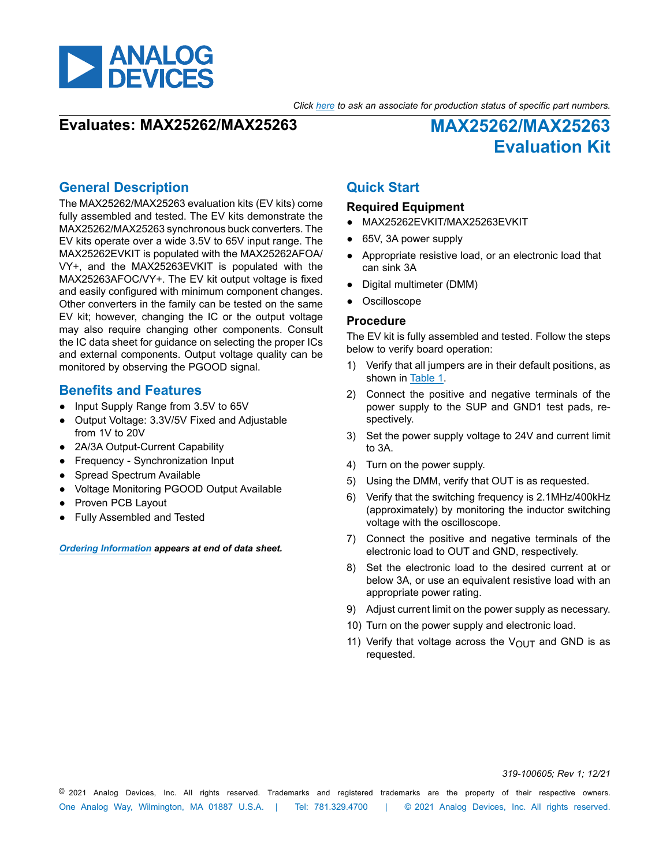

*Click here to ask an associate for production status of specific part numbers.*

### **Evaluates: MAX25262/MAX25263 MAX25262/MAX25263**

**Evaluation Kit**

### **General Description**

The MAX25262/MAX25263 evaluation kits (EV kits) come fully assembled and tested. The EV kits demonstrate the MAX25262/MAX25263 synchronous buck converters. The EV kits operate over a wide 3.5V to 65V input range. The MAX25262EVKIT is populated with the MAX25262AFOA/ VY+, and the MAX25263EVKIT is populated with the MAX25263AFOC/VY+. The EV kit output voltage is fixed and easily configured with minimum component changes. Other converters in the family can be tested on the same EV kit; however, changing the IC or the output voltage may also require changing other components. Consult the IC data sheet for guidance on selecting the proper ICs and external components. Output voltage quality can be monitored by observing the PGOOD signal.

#### **Benefits and Features**

- Input Supply Range from 3.5V to 65V
- Output Voltage: 3.3V/5V Fixed and Adjustable from 1V to 20V
- 2A/3A Output-Current Capability
- Frequency Synchronization Input
- Spread Spectrum Available
- Voltage Monitoring PGOOD Output Available
- Proven PCB Layout
- Fully Assembled and Tested

#### *[Ordering Information](#page-1-0) appears at end of data sheet.*

### **Quick Start**

#### **Required Equipment**

- MAX25262EVKIT/MAX25263EVKIT
- 65V, 3A power supply
- Appropriate resistive load, or an electronic load that can sink 3A
- Digital multimeter (DMM)
- Oscilloscope

#### **Procedure**

The EV kit is fully assembled and tested. Follow the steps below to verify board operation:

- 1) Verify that all jumpers are in their default positions, as shown in [Table 1](#page-1-1).
- 2) Connect the positive and negative terminals of the power supply to the SUP and GND1 test pads, respectively.
- 3) Set the power supply voltage to 24V and current limit to 3A.
- 4) Turn on the power supply.
- 5) Using the DMM, verify that OUT is as requested.
- 6) Verify that the switching frequency is 2.1MHz/400kHz (approximately) by monitoring the inductor switching voltage with the oscilloscope.
- 7) Connect the positive and negative terminals of the electronic load to OUT and GND, respectively.
- 8) Set the electronic load to the desired current at or below 3A, or use an equivalent resistive load with an appropriate power rating.
- 9) Adjust current limit on the power supply as necessary.
- 10) Turn on the power supply and electronic load.
- 11) Verify that voltage across the  $V_{\text{OUT}}$  and GND is as requested.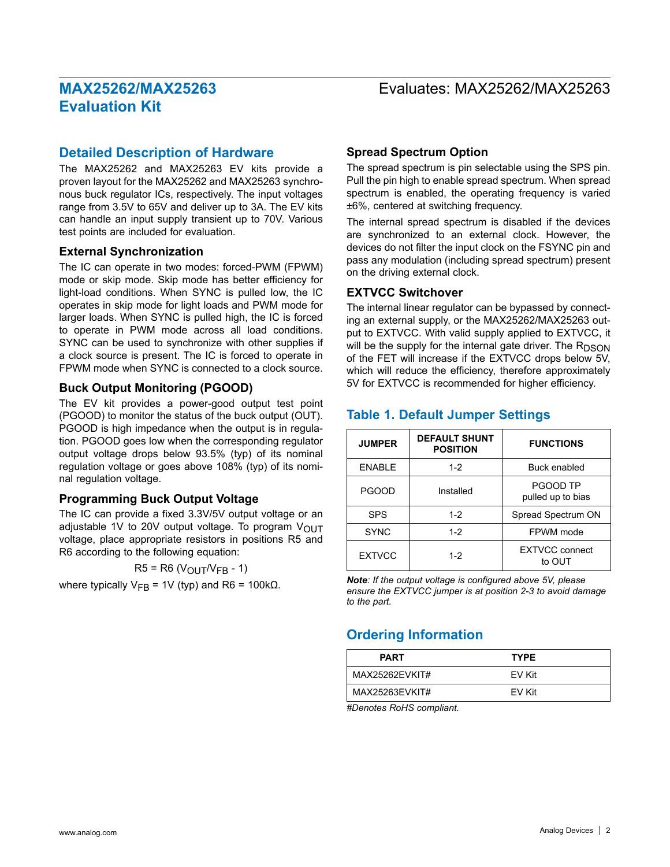### Evaluates: MAX25262/MAX25263

#### **Detailed Description of Hardware**

The MAX25262 and MAX25263 EV kits provide a proven layout for the MAX25262 and MAX25263 synchronous buck regulator ICs, respectively. The input voltages range from 3.5V to 65V and deliver up to 3A. The EV kits can handle an input supply transient up to 70V. Various test points are included for evaluation.

#### **External Synchronization**

The IC can operate in two modes: forced-PWM (FPWM) mode or skip mode. Skip mode has better efficiency for light-load conditions. When SYNC is pulled low, the IC operates in skip mode for light loads and PWM mode for larger loads. When SYNC is pulled high, the IC is forced to operate in PWM mode across all load conditions. SYNC can be used to synchronize with other supplies if a clock source is present. The IC is forced to operate in FPWM mode when SYNC is connected to a clock source.

#### **Buck Output Monitoring (PGOOD)**

The EV kit provides a power-good output test point (PGOOD) to monitor the status of the buck output (OUT). PGOOD is high impedance when the output is in regulation. PGOOD goes low when the corresponding regulator output voltage drops below 93.5% (typ) of its nominal regulation voltage or goes above 108% (typ) of its nominal regulation voltage.

#### **Programming Buck Output Voltage**

The IC can provide a fixed 3.3V/5V output voltage or an adjustable 1V to 20V output voltage. To program  $V_{\text{OUT}}$ voltage, place appropriate resistors in positions R5 and R6 according to the following equation:

 $R5 = R6 (V_{\text{OUT}}/V_{\text{FB}} - 1)$ 

where typically  $V_{FB}$  = 1V (typ) and R6 = 100kΩ.

#### **Spread Spectrum Option**

The spread spectrum is pin selectable using the SPS pin. Pull the pin high to enable spread spectrum. When spread spectrum is enabled, the operating frequency is varied ±6%, centered at switching frequency.

The internal spread spectrum is disabled if the devices are synchronized to an external clock. However, the devices do not filter the input clock on the FSYNC pin and pass any modulation (including spread spectrum) present on the driving external clock.

#### **EXTVCC Switchover**

The internal linear regulator can be bypassed by connecting an external supply, or the MAX25262/MAX25263 output to EXTVCC. With valid supply applied to EXTVCC, it will be the supply for the internal gate driver. The  $R_{DSON}$ of the FET will increase if the EXTVCC drops below 5V, which will reduce the efficiency, therefore approximately 5V for EXTVCC is recommended for higher efficiency.

#### <span id="page-1-1"></span>**Table 1. Default Jumper Settings**

| <b>JUMPER</b> | <b>DEFAULT SHUNT</b><br><b>POSITION</b> | <b>FUNCTIONS</b>                |  |
|---------------|-----------------------------------------|---------------------------------|--|
| <b>ENABLE</b> | $1 - 2$                                 | Buck enabled                    |  |
| <b>PGOOD</b>  | Installed                               | PGOOD TP<br>pulled up to bias   |  |
| <b>SPS</b>    | $1 - 2$                                 | Spread Spectrum ON              |  |
| <b>SYNC</b>   | $1-2$                                   | FPWM mode                       |  |
| <b>EXTVCC</b> | $1-2$                                   | <b>EXTVCC</b> connect<br>to OUT |  |

*Note: If the output voltage is configured above 5V, please ensure the EXTVCC jumper is at position 2-3 to avoid damage to the part.*

### <span id="page-1-0"></span>**Ordering Information**

| <b>PART</b>    | <b>TYPE</b> |
|----------------|-------------|
| MAX25262EVKIT# | EV Kit      |
| MAX25263EVKIT# | EV Kit      |

*#Denotes RoHS compliant.*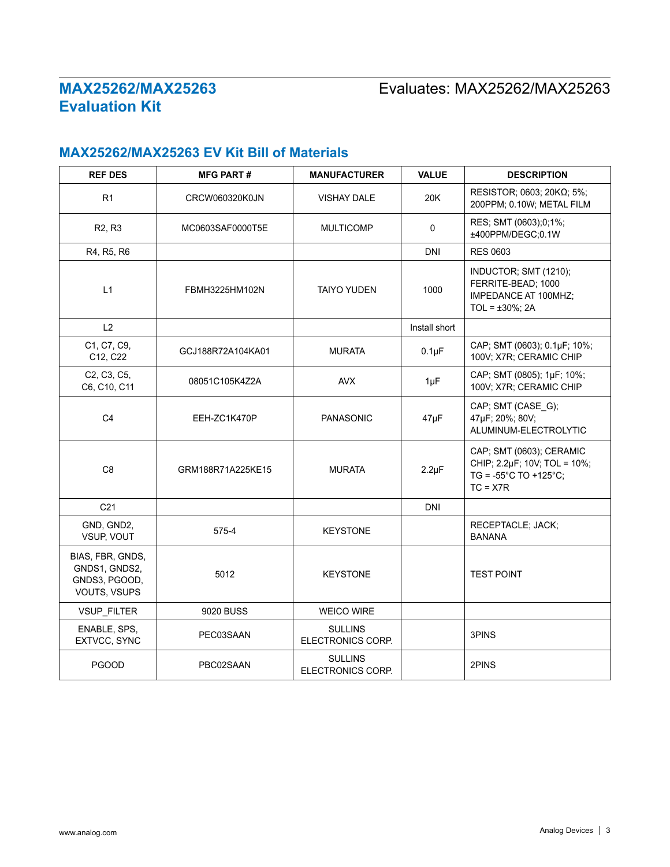# Evaluates: MAX25262/MAX25263

## **MAX25262/MAX25263 EV Kit Bill of Materials**

| <b>REF DES</b>                                                     | <b>MFG PART#</b>  | <b>MANUFACTURER</b>                 | <b>VALUE</b>  | <b>DESCRIPTION</b>                                                                                               |  |
|--------------------------------------------------------------------|-------------------|-------------------------------------|---------------|------------------------------------------------------------------------------------------------------------------|--|
| R1                                                                 | CRCW060320K0JN    | <b>VISHAY DALE</b>                  | 20K           | RESISTOR; 0603; 20ΚΩ; 5%;<br>200PPM; 0.10W; METAL FILM                                                           |  |
| R <sub>2</sub> , R <sub>3</sub>                                    | MC0603SAF0000T5E  | <b>MULTICOMP</b>                    | $\Omega$      | RES; SMT (0603);0;1%;<br>±400PPM/DEGC;0.1W                                                                       |  |
| R4, R5, R6                                                         |                   |                                     | <b>DNI</b>    | <b>RES 0603</b>                                                                                                  |  |
| L1                                                                 | FBMH3225HM102N    | <b>TAIYO YUDEN</b>                  | 1000          | INDUCTOR; SMT (1210);<br>FERRITE-BEAD; 1000<br>IMPEDANCE AT 100MHZ;<br>TOL = $\pm 30\%$ ; 2A                     |  |
| L2                                                                 |                   |                                     | Install short |                                                                                                                  |  |
| C1, C7, C9,<br>C12, C22                                            | GCJ188R72A104KA01 | <b>MURATA</b>                       | $0.1\mu F$    | CAP; SMT (0603); 0.1µF; 10%;<br>100V; X7R; CERAMIC CHIP                                                          |  |
| C2, C3, C5,<br>C6, C10, C11                                        | 08051C105K4Z2A    | <b>AVX</b>                          | $1\mu F$      | CAP; SMT (0805); 1µF; 10%;<br>100V; X7R; CERAMIC CHIP                                                            |  |
| C <sub>4</sub>                                                     | EEH-ZC1K470P      | <b>PANASONIC</b>                    | $47\mu F$     | CAP; SMT (CASE_G);<br>47µF; 20%; 80V;<br>ALUMINUM-ELECTROLYTIC                                                   |  |
| C <sub>8</sub>                                                     | GRM188R71A225KE15 | <b>MURATA</b>                       | $2.2 \mu F$   | CAP; SMT (0603); CERAMIC<br>CHIP; 2.2µF; 10V; TOL = 10%;<br>$TG = -55^{\circ}C TO + 125^{\circ}C;$<br>$TC = X7R$ |  |
| C <sub>21</sub>                                                    |                   |                                     | <b>DNI</b>    |                                                                                                                  |  |
| GND, GND2,<br>VSUP, VOUT                                           | 575-4             | <b>KEYSTONE</b>                     |               | RECEPTACLE; JACK;<br><b>BANANA</b>                                                                               |  |
| BIAS, FBR, GNDS,<br>GNDS1, GNDS2,<br>GNDS3, PGOOD,<br>VOUTS, VSUPS | 5012              | <b>KEYSTONE</b>                     |               | <b>TEST POINT</b>                                                                                                |  |
| VSUP_FILTER                                                        | 9020 BUSS         | <b>WEICO WIRE</b>                   |               |                                                                                                                  |  |
| ENABLE, SPS,<br>EXTVCC, SYNC                                       | PEC03SAAN         | <b>SULLINS</b><br>ELECTRONICS CORP. |               | 3PINS                                                                                                            |  |
| <b>PGOOD</b>                                                       | PBC02SAAN         | <b>SULLINS</b><br>ELECTRONICS CORP. |               | 2PINS                                                                                                            |  |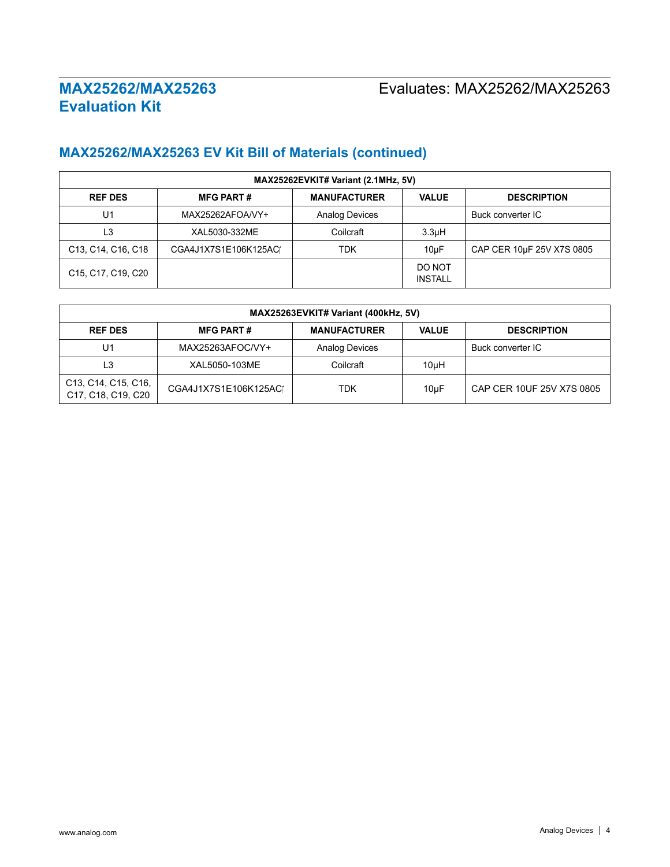## Evaluates: MAX25262/MAX25263

# **MAX25262/MAX25263 EV Kit Bill of Materials (continued)**

| MAX25262EVKIT# Variant (2.1MHz, 5V)                                   |                      |                       |                          |                           |
|-----------------------------------------------------------------------|----------------------|-----------------------|--------------------------|---------------------------|
| <b>REF DES</b>                                                        | <b>MFG PART#</b>     | <b>MANUFACTURER</b>   | <b>VALUE</b>             | <b>DESCRIPTION</b>        |
| U1                                                                    | MAX25262AFOA/VY+     | <b>Analog Devices</b> |                          | Buck converter IC         |
| L3                                                                    | XAL5030-332ME        | Coilcraft             | 3.3 <sub>µ</sub> H       |                           |
| C <sub>13</sub> , C <sub>14</sub> , C <sub>16</sub> , C <sub>18</sub> | CGA4J1X7S1E106K125AC | <b>TDK</b>            | $10\mu F$                | CAP CER 10µF 25V X7S 0805 |
| C <sub>15</sub> , C <sub>17</sub> , C <sub>19</sub> , C <sub>20</sub> |                      |                       | DO NOT<br><b>INSTALL</b> |                           |

| MAX25263EVKIT# Variant (400kHz, 5V)                                                           |                      |                       |              |                           |
|-----------------------------------------------------------------------------------------------|----------------------|-----------------------|--------------|---------------------------|
| <b>REF DES</b>                                                                                | <b>MFG PART#</b>     | <b>MANUFACTURER</b>   | <b>VALUE</b> | <b>DESCRIPTION</b>        |
| U1                                                                                            | MAX25263AFOC/VY+     | <b>Analog Devices</b> |              | Buck converter IC         |
| L <sub>3</sub>                                                                                | XAL5050-103ME        | Coilcraft             | 10uH         |                           |
| C <sub>13</sub> , C <sub>14</sub> , C <sub>15</sub> , C <sub>16</sub> ,<br>C17, C18, C19, C20 | CGA4J1X7S1E106K125AC | <b>TDK</b>            | 10µF         | CAP CER 10UF 25V X7S 0805 |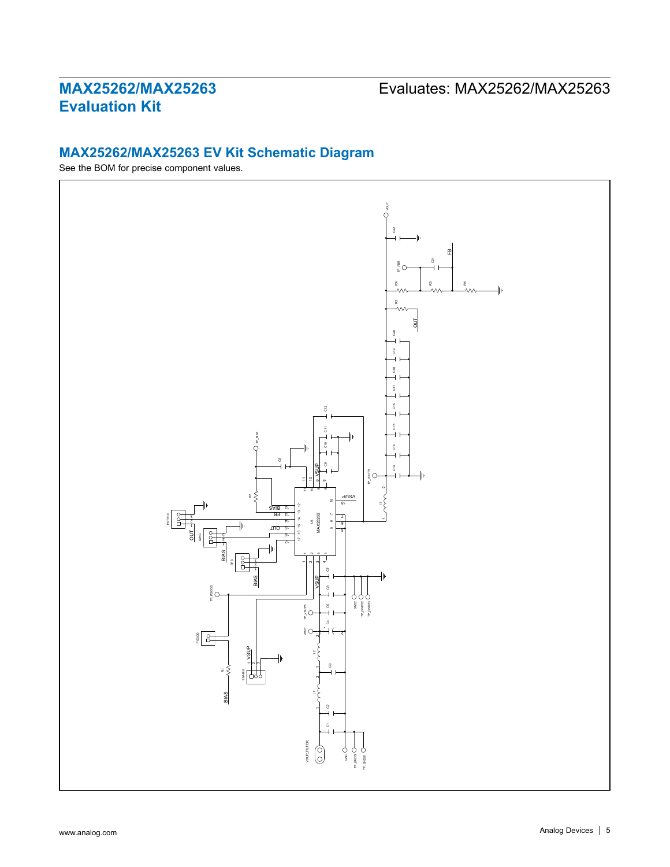# Evaluates: MAX25262/MAX25263

### **MAX25262/MAX25263 EV Kit Schematic Diagram**

See the BOM for precise component values.

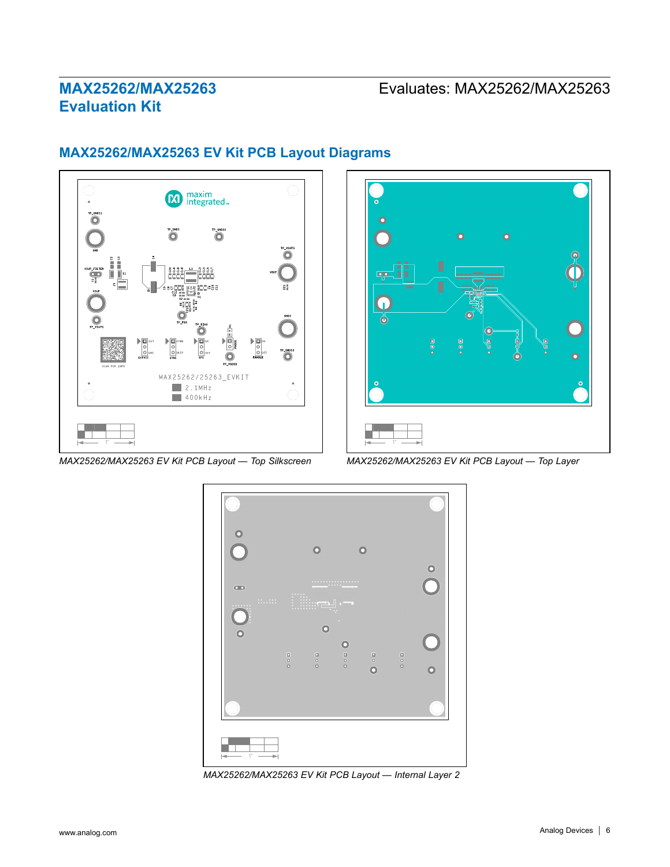## Evaluates: MAX25262/MAX25263



### **MAX25262/MAX25263 EV Kit PCB Layout Diagrams**



*MAX25262/MAX25263 EV Kit PCB Layout — Top Silkscreen MAX25262/MAX25263 EV Kit PCB Layout — Top Layer*



*MAX25262/MAX25263 EV Kit PCB Layout — Internal Layer 2*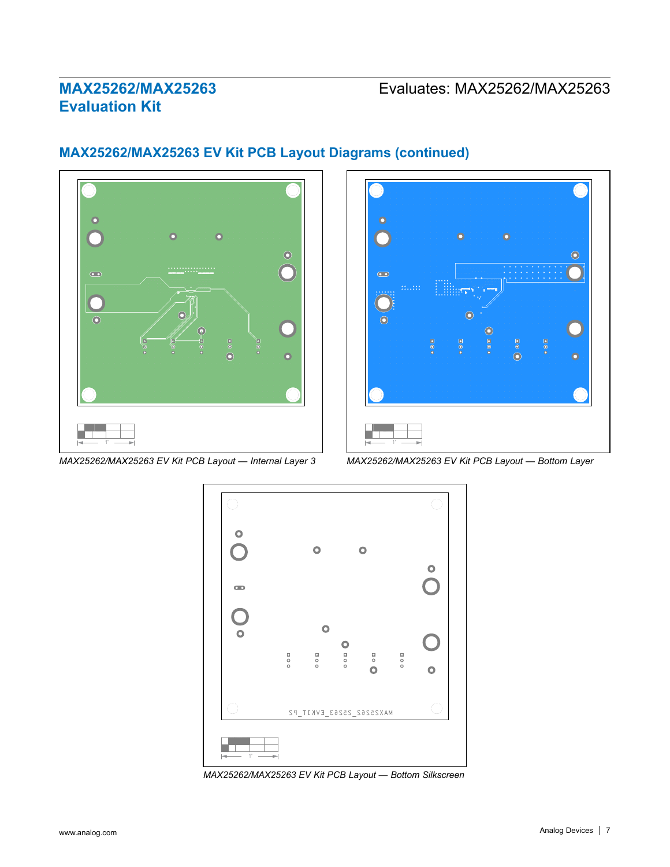

### **MAX25262/MAX25263 EV Kit PCB Layout Diagrams (continued)**



*MAX25262/MAX25263 EV Kit PCB Layout — Internal Layer 3 MAX25262/MAX25263 EV Kit PCB Layout — Bottom Layer*



*MAX25262/MAX25263 EV Kit PCB Layout — Bottom Silkscreen*